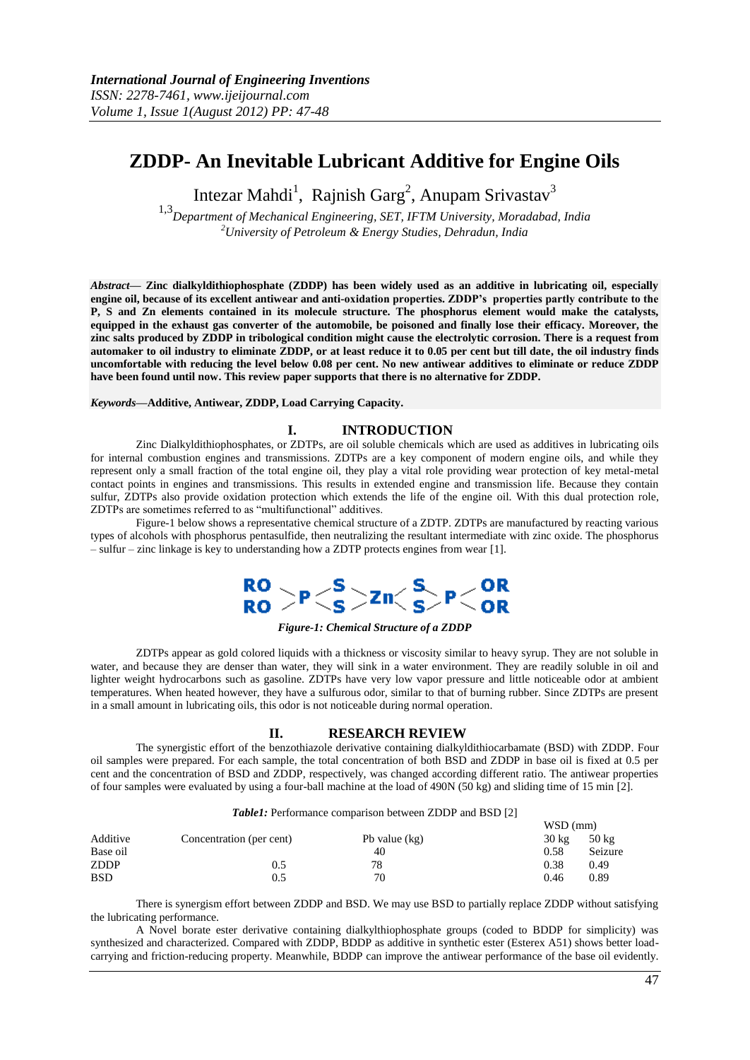# **ZDDP- An Inevitable Lubricant Additive for Engine Oils**

Intezar Mahdi<sup>1</sup>, Rajnish Garg<sup>2</sup>, Anupam Srivastav<sup>3</sup>

1,3*Department of Mechanical Engineering, SET, IFTM University, Moradabad, India <sup>2</sup>University of Petroleum & Energy Studies, Dehradun, India*

*Abstract––* **Zinc dialkyldithiophosphate (ZDDP) has been widely used as an additive in lubricating oil, especially engine oil, because of its excellent antiwear and anti-oxidation properties. ZDDP's properties partly contribute to the P, S and Zn elements contained in its molecule structure. The phosphorus element would make the catalysts, equipped in the exhaust gas converter of the automobile, be poisoned and finally lose their efficacy. Moreover, the zinc salts produced by ZDDP in tribological condition might cause the electrolytic corrosion. There is a request from automaker to oil industry to eliminate ZDDP, or at least reduce it to 0.05 per cent but till date, the oil industry finds uncomfortable with reducing the level below 0.08 per cent. No new antiwear additives to eliminate or reduce ZDDP have been found until now. This review paper supports that there is no alternative for ZDDP.** 

#### *Keywords––***Additive, Antiwear, ZDDP, Load Carrying Capacity.**

## **I. INTRODUCTION**

Zinc Dialkyldithiophosphates, or ZDTPs, are oil soluble chemicals which are used as additives in lubricating oils for internal combustion engines and transmissions. ZDTPs are a key component of modern engine oils, and while they represent only a small fraction of the total engine oil, they play a vital role providing wear protection of key metal-metal contact points in engines and transmissions. This results in extended engine and transmission life. Because they contain sulfur, ZDTPs also provide oxidation protection which extends the life of the engine oil. With this dual protection role, ZDTPs are sometimes referred to as "multifunctional" additives.

Figure-1 below shows a representative chemical structure of a ZDTP. ZDTPs are manufactured by reacting various types of alcohols with phosphorus pentasulfide, then neutralizing the resultant intermediate with zinc oxide. The phosphorus – sulfur – zinc linkage is key to understanding how a ZDTP protects engines from wear [1].



*Figure-1: Chemical Structure of a ZDDP*

ZDTPs appear as gold colored liquids with a thickness or viscosity similar to heavy syrup. They are not soluble in water, and because they are denser than water, they will sink in a water environment. They are readily soluble in oil and lighter weight hydrocarbons such as gasoline. ZDTPs have very low vapor pressure and little noticeable odor at ambient temperatures. When heated however, they have a sulfurous odor, similar to that of burning rubber. Since ZDTPs are present in a small amount in lubricating oils, this odor is not noticeable during normal operation.

#### **II. RESEARCH REVIEW**

The synergistic effort of the benzothiazole derivative containing dialkyldithiocarbamate (BSD) with ZDDP. Four oil samples were prepared. For each sample, the total concentration of both BSD and ZDDP in base oil is fixed at 0.5 per cent and the concentration of BSD and ZDDP, respectively, was changed according different ratio. The antiwear properties of four samples were evaluated by using a four-ball machine at the load of 490N (50 kg) and sliding time of 15 min [2].

| Table1: Performance comparison between ZDDP and BSD [2] |  |
|---------------------------------------------------------|--|
|---------------------------------------------------------|--|

|                          |                 | $WSD$ (mm)      |                 |
|--------------------------|-----------------|-----------------|-----------------|
| Concentration (per cent) | Pb value $(kg)$ | $30 \text{ kg}$ | $50 \text{ kg}$ |
|                          | 40              | 0.58            | Seizure         |
| 0.5                      | 78              | 0.38            | 0.49            |
| 0.5                      | 70              | 0.46            | 0.89            |
|                          |                 |                 |                 |

There is synergism effort between ZDDP and BSD. We may use BSD to partially replace ZDDP without satisfying the lubricating performance.

A Novel borate ester derivative containing dialkylthiophosphate groups (coded to BDDP for simplicity) was synthesized and characterized. Compared with ZDDP, BDDP as additive in synthetic ester (Esterex A51) shows better loadcarrying and friction-reducing property. Meanwhile, BDDP can improve the antiwear performance of the base oil evidently.